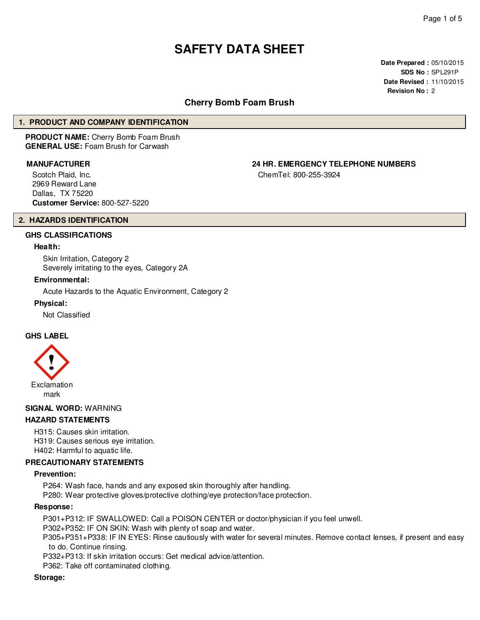# **SAFETY DATA SHEET**

**Date Prepared :** 05/10/2015 **SDS No :** SPL291P **Date Revised :** 11/10/2015 **Revision No :** 2

# **Cherry Bomb Foam Brush**

### **1. PRODUCT AND COMPANY IDENTIFICATION**

**PRODUCT NAME:** Cherry Bomb Foam Brush **GENERAL USE:** Foam Brush for Carwash

Scotch Plaid, Inc. 2969 Reward Lane Dallas, TX 75220 **Customer Service:** 800-527-5220

**MANUFACTURER 24 HR. EMERGENCY TELEPHONE NUMBERS**

ChemTel: 800-255-3924

# **2. HAZARDS IDENTIFICATION**

# **GHS CLASSIFICATIONS**

#### **Health:**

Skin Irritation, Category 2 Severely irritating to the eyes, Category 2A

#### **Environmental:**

Acute Hazards to the Aquatic Environment, Category 2

#### **Physical:**

Not Classified

### **GHS LABEL**



#### **SIGNAL WORD:** WARNING

#### **HAZARD STATEMENTS**

H315: Causes skin irritation. H319: Causes serious eye irritation. H402: Harmful to aquatic life.

# **PRECAUTIONARY STATEMENTS**

#### **Prevention:**

P264: Wash face, hands and any exposed skin thoroughly after handling.

P280: Wear protective gloves/protective clothing/eye protection/face protection.

#### **Response:**

P301+P312: IF SWALLOWED: Call a POISON CENTER or doctor/physician if you feel unwell.

P302+P352: IF ON SKIN: Wash with plenty of soap and water.

P305+P351+P338: IF IN EYES: Rinse cautiously with water for several minutes. Remove contact lenses, if present and easy to do. Continue rinsing.

P332+P313: If skin irritation occurs: Get medical advice/attention.

P362: Take off contaminated clothing.

#### **Storage:**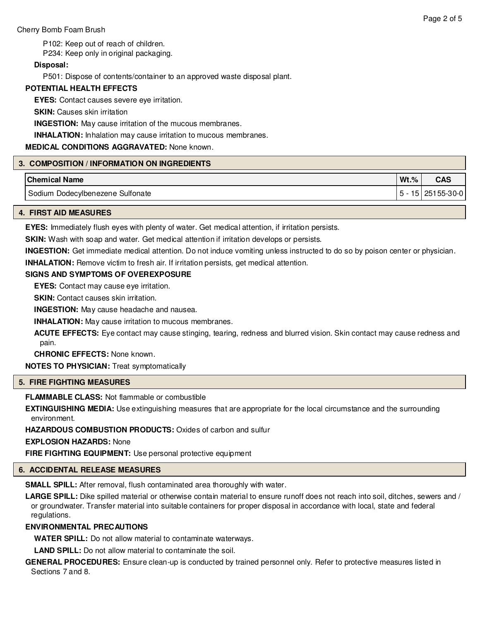P102: Keep out of reach of children.

P234: Keep only in original packaging.

# **Disposal:**

P501: Dispose of contents/container to an approved waste disposal plant.

# **POTENTIAL HEALTH EFFECTS**

**EYES:** Contact causes severe eye irritation.

**SKIN: Causes skin irritation** 

**INGESTION:** May cause irritation of the mucous membranes.

**INHALATION:** Inhalation may cause irritation to mucous membranes.

# **MEDICAL CONDITIONS AGGRAVATED:** None known.

# **3. COMPOSITION / INFORMATION ON INGREDIENTS**

| <b>Chemical Name</b>                       | $Wt.\%$          | <b>CAS</b> |
|--------------------------------------------|------------------|------------|
| <b>Dodecylbenezene Sulfonate</b><br>Sodium | $5^{\circ}$<br>5 | 25155-30-0 |

# **4. FIRST AID MEASURES**

**EYES:** Immediately flush eyes with plenty of water. Get medical attention, if irritation persists.

**SKIN:** Wash with soap and water. Get medical attention if irritation develops or persists.

**INGESTION:** Get immediate medical attention. Do not induce vomiting unless instructed to do so by poison center or physician.

**INHALATION:** Remove victim to fresh air. If irritation persists, get medical attention.

# **SIGNS AND SYMPTOMS OF OVEREXPOSURE**

**EYES:** Contact may cause eye irritation.

**SKIN:** Contact causes skin irritation.

**INGESTION:** May cause headache and nausea.

**INHALATION:** May cause irritation to mucous membranes.

**ACUTE EFFECTS:** Eye contact may cause stinging, tearing, redness and blurred vision. Skin contact may cause redness and pain.

**CHRONIC EFFECTS:** None known.

**NOTES TO PHYSICIAN:** Treat symptomatically

# **5. FIRE FIGHTING MEASURES**

**FLAMMABLE CLASS:** Not flammable or combustible

**EXTINGUISHING MEDIA:** Use extinguishing measures that are appropriate for the local circumstance and the surrounding environment.

**HAZARDOUS COMBUSTION PRODUCTS:** Oxides of carbon and sulfur

**EXPLOSION HAZARDS:** None

**FIRE FIGHTING EQUIPMENT:** Use personal protective equipment

# **6. ACCIDENTAL RELEASE MEASURES**

**SMALL SPILL:** After removal, flush contaminated area thoroughly with water.

**LARGE SPILL:** Dike spilled material or otherwise contain material to ensure runoff does not reach into soil, ditches, sewers and / or groundwater. Transfer material into suitable containers for proper disposal in accordance with local, state and federal regulations.

# **ENVIRONMENTAL PRECAUTIONS**

**WATER SPILL:** Do not allow material to contaminate waterways.

**LAND SPILL:** Do not allow material to contaminate the soil.

**GENERAL PROCEDURES:** Ensure clean-up is conducted by trained personnel only. Refer to protective measures listed in Sections 7 and 8.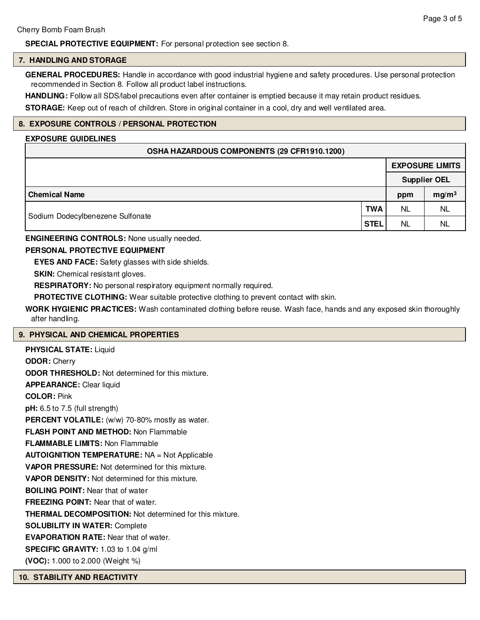# **SPECIAL PROTECTIVE EQUIPMENT:** For personal protection see section 8.

#### **7. HANDLING AND STORAGE**

**GENERAL PROCEDURES:** Handle in accordance with good industrial hygiene and safety procedures. Use personal protection recommended in Section 8. Follow all product label instructions.

**HANDLING:** Follow all SDS/label precautions even after container is emptied because it may retain product residues.

**STORAGE:** Keep out of reach of children. Store in original container in a cool, dry and well ventilated area.

# **8. EXPOSURE CONTROLS / PERSONAL PROTECTION**

#### **EXPOSURE GUIDELINES**

| OSHA HAZARDOUS COMPONENTS (29 CFR1910.1200) |  |
|---------------------------------------------|--|
|---------------------------------------------|--|

|                                  |             | <b>EXPOSURE LIMITS</b><br><b>Supplier OEL</b> |                   |  |
|----------------------------------|-------------|-----------------------------------------------|-------------------|--|
|                                  |             |                                               |                   |  |
| <b>Chemical Name</b>             |             | ppm                                           | mg/m <sup>3</sup> |  |
| Sodium Dodecylbenezene Sulfonate | <b>TWA</b>  | <b>NL</b>                                     | <b>NL</b>         |  |
|                                  | <b>STEL</b> | NL                                            | <b>NL</b>         |  |

**ENGINEERING CONTROLS:** None usually needed.

# **PERSONAL PROTECTIVE EQUIPMENT**

**EYES AND FACE:** Safety glasses with side shields.

**SKIN:** Chemical resistant gloves.

**RESPIRATORY:** No personal respiratory equipment normally required.

**PROTECTIVE CLOTHING:** Wear suitable protective clothing to prevent contact with skin.

**WORK HYGIENIC PRACTICES:** Wash contaminated clothing before reuse. Wash face, hands and any exposed skin thoroughly after handling.

#### **9. PHYSICAL AND CHEMICAL PROPERTIES**

| <b>PHYSICAL STATE: Liquid</b>                                  |
|----------------------------------------------------------------|
| <b>ODOR: Cherry</b>                                            |
| <b>ODOR THRESHOLD:</b> Not determined for this mixture.        |
| <b>APPEARANCE:</b> Clear liquid                                |
| <b>COLOR: Pink</b>                                             |
| $pH: 6.5$ to 7.5 (full strength)                               |
| <b>PERCENT VOLATILE:</b> (w/w) 70-80% mostly as water.         |
| <b>FLASH POINT AND METHOD: Non Flammable</b>                   |
| <b>FLAMMABLE LIMITS: Non Flammable</b>                         |
| <b>AUTOIGNITION TEMPERATURE: NA = Not Applicable</b>           |
| VAPOR PRESSURE: Not determined for this mixture.               |
| <b>VAPOR DENSITY:</b> Not determined for this mixture.         |
| <b>BOILING POINT:</b> Near that of water                       |
| <b>FREEZING POINT:</b> Near that of water.                     |
| <b>THERMAL DECOMPOSITION:</b> Not determined for this mixture. |
| <b>SOLUBILITY IN WATER: Complete</b>                           |
| <b>EVAPORATION RATE:</b> Near that of water.                   |
| <b>SPECIFIC GRAVITY:</b> 1.03 to 1.04 $g/ml$                   |
| (VOC): 1.000 to 2.000 (Weight %)                               |
|                                                                |

**10. STABILITY AND REACTIVITY**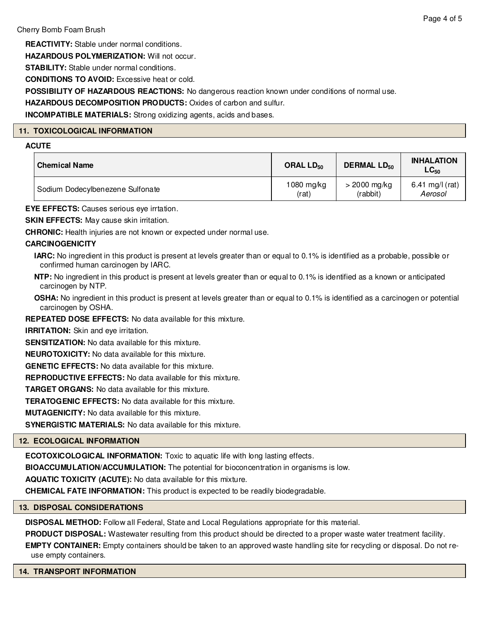**REACTIVITY:** Stable under normal conditions.

**HAZARDOUS POLYMERIZATION:** Will not occur.

**STABILITY:** Stable under normal conditions.

**CONDITIONS TO AVOID:** Excessive heat or cold.

**POSSIBILITY OF HAZARDOUS REACTIONS:** No dangerous reaction known under conditions of normal use.

**HAZARDOUS DECOMPOSITION PRODUCTS:** Oxides of carbon and sulfur.

**INCOMPATIBLE MATERIALS:** Strong oxidizing agents, acids and bases.

# **11. TOXICOLOGICAL INFORMATION**

# **ACUTE**

| <b>Chemical Name</b>             | ORAL $LD_{50}$ | <b>DERMAL LD<sub>50</sub></b> | <b>INHALATION</b><br>$LG_{50}$ |  |
|----------------------------------|----------------|-------------------------------|--------------------------------|--|
| Sodium Dodecylbenezene Sulfonate | 1080 mg/kg     | $>$ 2000 mg/kg                | 6.41 mg/l (rat)                |  |
|                                  | (rat)          | (rabbit)                      | Aerosol                        |  |

**EYE EFFECTS:** Causes serious eye irrtation.

**SKIN EFFECTS:** May cause skin irritation.

**CHRONIC:** Health injuries are not known or expected under normal use.

# **CARCINOGENICITY**

- **IARC:** No ingredient in this product is present at levels greater than or equal to 0.1% is identified as a probable, possible or confirmed human carcinogen by IARC.
- **NTP:** No ingredient in this product is present at levels greater than or equal to 0.1% is identified as a known or anticipated carcinogen by NTP.
- **OSHA:** No ingredient in this product is present at levels greater than or equal to 0.1% is identified as a carcinogen or potential carcinogen by OSHA.

**REPEATED DOSE EFFECTS:** No data available for this mixture.

**IRRITATION:** Skin and eye irritation.

**SENSITIZATION:** No data available for this mixture.

**NEUROTOXICITY:** No data available for this mixture.

**GENETIC EFFECTS:** No data available for this mixture.

**REPRODUCTIVE EFFECTS:** No data available for this mixture.

**TARGET ORGANS:** No data available for this mixture.

**TERATOGENIC EFFECTS:** No data available for this mixture.

**MUTAGENICITY:** No data available for this mixture.

**SYNERGISTIC MATERIALS:** No data available for this mixture.

# **12. ECOLOGICAL INFORMATION**

**ECOTOXICOLOGICAL INFORMATION:** Toxic to aquatic life with long lasting effects.

**BIOACCUMULATION/ACCUMULATION:** The potential for bioconcentration in organisms is low.

**AQUATIC TOXICITY (ACUTE):** No data available for this mixture.

**CHEMICAL FATE INFORMATION:** This product is expected to be readily biodegradable.

#### **13. DISPOSAL CONSIDERATIONS**

**DISPOSAL METHOD:** Follow all Federal, State and Local Regulations appropriate for this material.

**PRODUCT DISPOSAL:** Wastewater resulting from this product should be directed to a proper waste water treatment facility.

**EMPTY CONTAINER:** Empty containers should be taken to an approved waste handling site for recycling or disposal. Do not reuse empty containers.

#### **14. TRANSPORT INFORMATION**